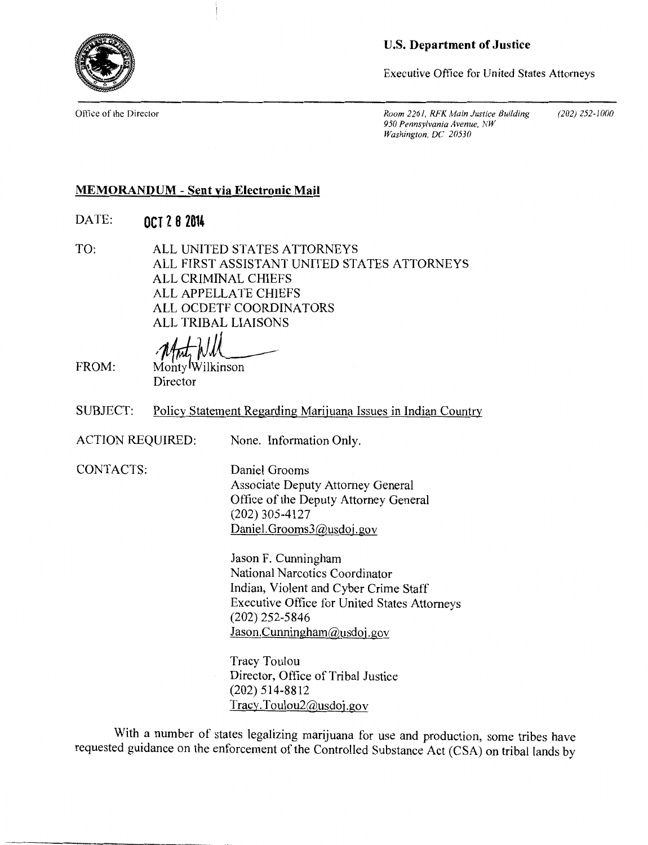

**U.S. Department of Justice** 

Executive Office for United States Attorneys

Office of the Director *Room 2261, RFK Main Justice Building* (202) 252-1000 *950 Pennsylvania Avenue, NW Washington, DC 20530* 

## **MEMORANDUM - Sent via Electronic Mail**

- DATE: **OCT Z 8 2014**
- TO: ALL UNITED STATES ATTORNEYS ALL FIRST ASSISTANT UNITED STATES ATTORNEYS ALL CRIMINAL CHIEFS ALL APPELLATE CHIEFS ALL OCDETF COORDINATORS ALL TRIBAL LIAISONS

**Mot Will** Monty Wilkinson

Director

SUBJECT: Policy Statement Regarding Marijuana Issues in Indian Country

ACTION REQUIRED: None. Information Only.

CONTACTS: Daniel Grooms

FROM: 

Associate Deputy Attorney General Office of the Deputy Attorney General (202) 305-4127 Daniel. Grooms3@usdoj.gov

Jason F. Cunningham National Narcotics Coordinator Indian, Violent and Cyber Crime Staff Executive Office for United States Attorneys (202) 252-5846 Jason. Cunningham@usdoj.gov

Tracy Toulou Director, Office of Tribal Justice (202) 514-8812 Tracy.Toulou2@usdoj.gov

With a number of states legalizing marijuana for use and production, some tribes have requested guidance on the enforcement of the Controlled Substance Act (CSA) on tribal lands by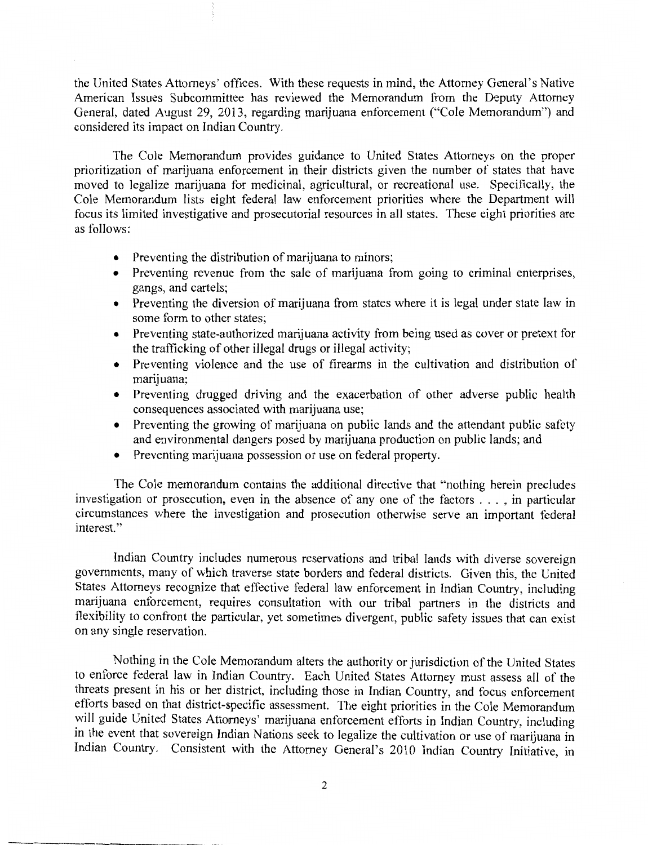the United States Attorneys' offices. With these requests in mind, the Attorney General's Native American Issues Subcommittee has reviewed the Memorandum from the Deputy Attorney General, dated August 29, 2013, regarding marijuana enforcement ("Cole Memorandum") and considered its impact on Indian Country.

The Cole Memorandum provides guidance to United States Attorneys on the proper prioritization of marijuana enforcement in their districts given the number of states that have moved to legalize marijuana for medicinal, agricultural, or recreational use. Specifically, the Cole Memorandum lists eight federal law enforcement priorities where the Department will focus its limited investigative and prosecutorial resources in all states. These eight priorities are as follows:

- Preventing the distribution of marijuana to minors;
- Preventing revenue from the sale of marijuana from going to criminal enterprises, gangs, and cartels;
- Preventing the diversion of marijuana from states where it is legal under state law in some form to other states;
- Preventing state-authorized marijuana activity from being used as cover or pretext for the trafficking of other illegal drugs or illegal activity;
- Preventing violence and the use of firearms in the cultivation and distribution of marijuana;
- Preventing drugged driving and the exacerbation of other adverse public health consequences associated with marijuana use;
- Preventing the growing of marijuana on public lands and the attendant public safety and environmental dangers posed by marijuana production on public lands; and
- Preventing marijuana possession or use on federal property.

The Cole memorandum contains the additional directive that "nothing herein precludes investigation or prosecution, even in the absence of any one of the factors . . . , in particular circumstances where the investigation and prosecution otherwise serve an important federal interest."

Indian Country includes numerous reservations and tribal lands with diverse sovereign governments, many of which traverse state borders and federal districts. Given this, the United States Attorneys recognize that effective federal law enforcement in Indian Country, including marijuana enforcement, requires consultation with our tribal partners in the districts and flexibility to confront the particular, yet sometimes divergent, public safety issues that can exist on any single reservation.

Nothing in the Cole Memorandum alters the authority or jurisdiction of the United States to enforce federal law in Indian Country. Each United States Attorney must assess all of the threats present in his or her district, including those in Indian Country, and focus enforcement efforts based on that district-specific assessment. The eight priorities in the Cole Memorandum will guide United States Attorneys' marijuana enforcement efforts in Indian Country, including in the event that sovereign Indian Nations seek to legalize the cultivation or use of marijuana in Indian Country. Consistent with the Attorney General's 2010 Indian Country Initiative, in